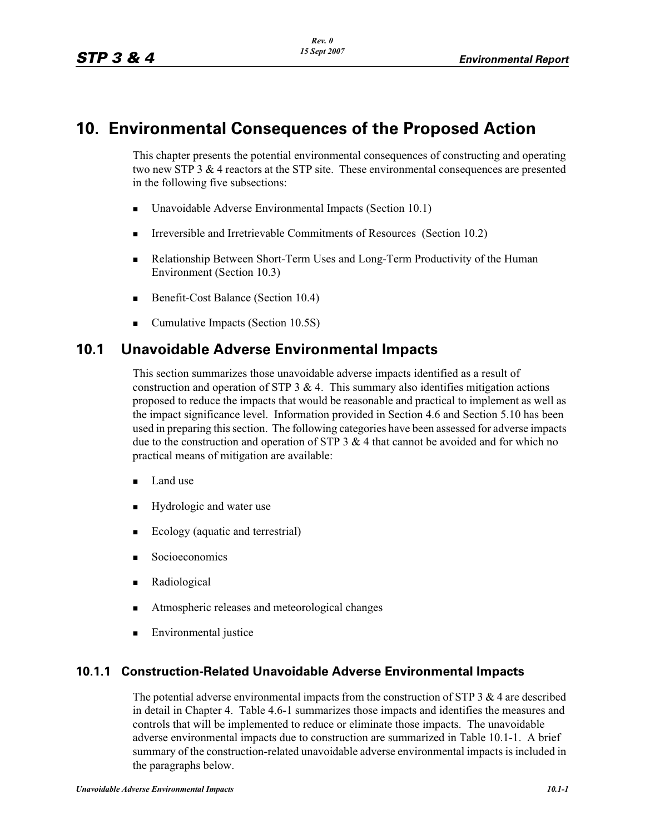# **10. Environmental Consequences of the Proposed Action**

This chapter presents the potential environmental consequences of constructing and operating two new STP  $3 \& 4$  reactors at the STP site. These environmental consequences are presented in the following five subsections:

- -Unavoidable Adverse Environmental Impacts (Section 10.1)
- **IFFELD** Irreversible and Irretrievable Commitments of Resources (Section 10.2)
- - Relationship Between Short-Term Uses and Long-Term Productivity of the Human Environment (Section 10.3)
- -Benefit-Cost Balance (Section 10.4)
- Cumulative Impacts (Section 10.5S)

# **10.1 Unavoidable Adverse Environmental Impacts**

This section summarizes those unavoidable adverse impacts identified as a result of construction and operation of STP  $3 \& 4$ . This summary also identifies mitigation actions proposed to reduce the impacts that would be reasonable and practical to implement as well as the impact significance level. Information provided in Section 4.6 and Section 5.10 has been used in preparing this section. The following categories have been assessed for adverse impacts due to the construction and operation of STP 3  $\&$  4 that cannot be avoided and for which no practical means of mitigation are available:

- -Land use
- -Hydrologic and water use
- -Ecology (aquatic and terrestrial)
- -Socioeconomics
- -Radiological
- -Atmospheric releases and meteorological changes
- -Environmental justice

## **10.1.1 Construction-Related Unavoidable Adverse Environmental Impacts**

The potential adverse environmental impacts from the construction of STP  $3 \& 4$  are described in detail in Chapter 4. Table 4.6-1 summarizes those impacts and identifies the measures and controls that will be implemented to reduce or eliminate those impacts. The unavoidable adverse environmental impacts due to construction are summarized in Table 10.1-1. A brief summary of the construction-related unavoidable adverse environmental impacts is included in the paragraphs below.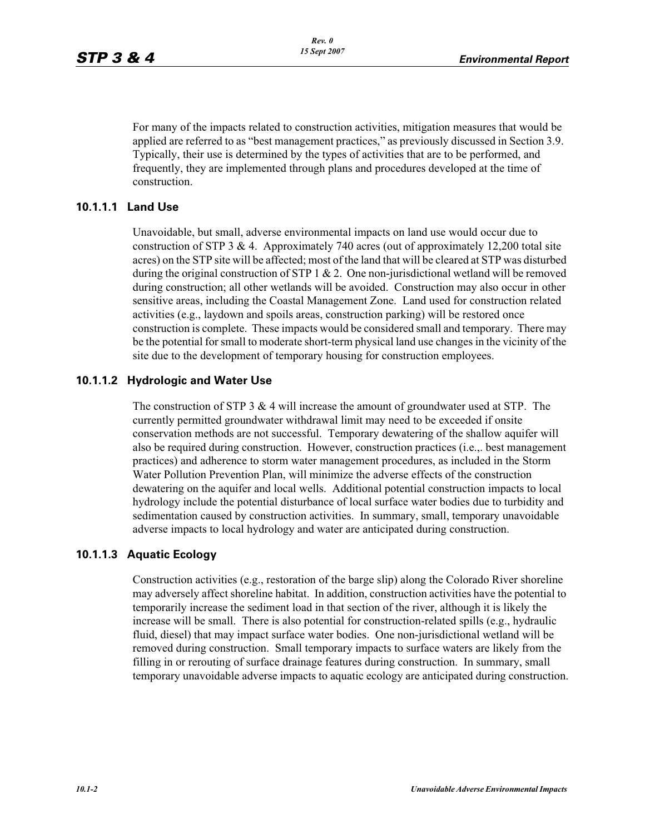For many of the impacts related to construction activities, mitigation measures that would be applied are referred to as "best management practices," as previously discussed in Section 3.9. Typically, their use is determined by the types of activities that are to be performed, and frequently, they are implemented through plans and procedures developed at the time of construction.

#### **10.1.1.1 Land Use**

Unavoidable, but small, adverse environmental impacts on land use would occur due to construction of STP 3  $\&$  4. Approximately 740 acres (out of approximately 12,200 total site acres) on the STP site will be affected; most of the land that will be cleared at STP was disturbed during the original construction of STP 1  $\&$  2. One non-jurisdictional wetland will be removed during construction; all other wetlands will be avoided. Construction may also occur in other sensitive areas, including the Coastal Management Zone. Land used for construction related activities (e.g., laydown and spoils areas, construction parking) will be restored once construction is complete. These impacts would be considered small and temporary. There may be the potential for small to moderate short-term physical land use changes in the vicinity of the site due to the development of temporary housing for construction employees.

#### **10.1.1.2 Hydrologic and Water Use**

The construction of STP  $3 \& 4$  will increase the amount of groundwater used at STP. The currently permitted groundwater withdrawal limit may need to be exceeded if onsite conservation methods are not successful. Temporary dewatering of the shallow aquifer will also be required during construction. However, construction practices (i.e.,. best management practices) and adherence to storm water management procedures, as included in the Storm Water Pollution Prevention Plan, will minimize the adverse effects of the construction dewatering on the aquifer and local wells. Additional potential construction impacts to local hydrology include the potential disturbance of local surface water bodies due to turbidity and sedimentation caused by construction activities. In summary, small, temporary unavoidable adverse impacts to local hydrology and water are anticipated during construction.

#### **10.1.1.3 Aquatic Ecology**

Construction activities (e.g., restoration of the barge slip) along the Colorado River shoreline may adversely affect shoreline habitat. In addition, construction activities have the potential to temporarily increase the sediment load in that section of the river, although it is likely the increase will be small. There is also potential for construction-related spills (e.g., hydraulic fluid, diesel) that may impact surface water bodies. One non-jurisdictional wetland will be removed during construction. Small temporary impacts to surface waters are likely from the filling in or rerouting of surface drainage features during construction. In summary, small temporary unavoidable adverse impacts to aquatic ecology are anticipated during construction.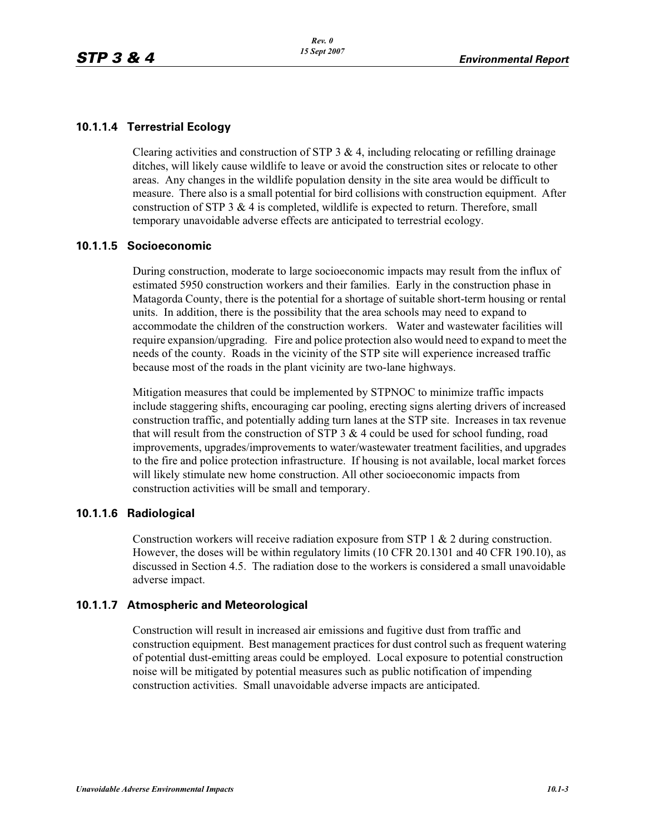#### **10.1.1.4 Terrestrial Ecology**

Clearing activities and construction of STP  $3 \& 4$ , including relocating or refilling drainage ditches, will likely cause wildlife to leave or avoid the construction sites or relocate to other areas. Any changes in the wildlife population density in the site area would be difficult to measure. There also is a small potential for bird collisions with construction equipment. After construction of STP 3  $\&$  4 is completed, wildlife is expected to return. Therefore, small temporary unavoidable adverse effects are anticipated to terrestrial ecology.

#### **10.1.1.5 Socioeconomic**

During construction, moderate to large socioeconomic impacts may result from the influx of estimated 5950 construction workers and their families. Early in the construction phase in Matagorda County, there is the potential for a shortage of suitable short-term housing or rental units. In addition, there is the possibility that the area schools may need to expand to accommodate the children of the construction workers. Water and wastewater facilities will require expansion/upgrading. Fire and police protection also would need to expand to meet the needs of the county. Roads in the vicinity of the STP site will experience increased traffic because most of the roads in the plant vicinity are two-lane highways.

Mitigation measures that could be implemented by STPNOC to minimize traffic impacts include staggering shifts, encouraging car pooling, erecting signs alerting drivers of increased construction traffic, and potentially adding turn lanes at the STP site. Increases in tax revenue that will result from the construction of STP  $3 & 4$  could be used for school funding, road improvements, upgrades/improvements to water/wastewater treatment facilities, and upgrades to the fire and police protection infrastructure. If housing is not available, local market forces will likely stimulate new home construction. All other socioeconomic impacts from construction activities will be small and temporary.

#### **10.1.1.6 Radiological**

Construction workers will receive radiation exposure from STP 1 & 2 during construction. However, the doses will be within regulatory limits (10 CFR 20.1301 and 40 CFR 190.10), as discussed in Section 4.5. The radiation dose to the workers is considered a small unavoidable adverse impact.

#### **10.1.1.7 Atmospheric and Meteorological**

Construction will result in increased air emissions and fugitive dust from traffic and construction equipment. Best management practices for dust control such as frequent watering of potential dust-emitting areas could be employed. Local exposure to potential construction noise will be mitigated by potential measures such as public notification of impending construction activities. Small unavoidable adverse impacts are anticipated.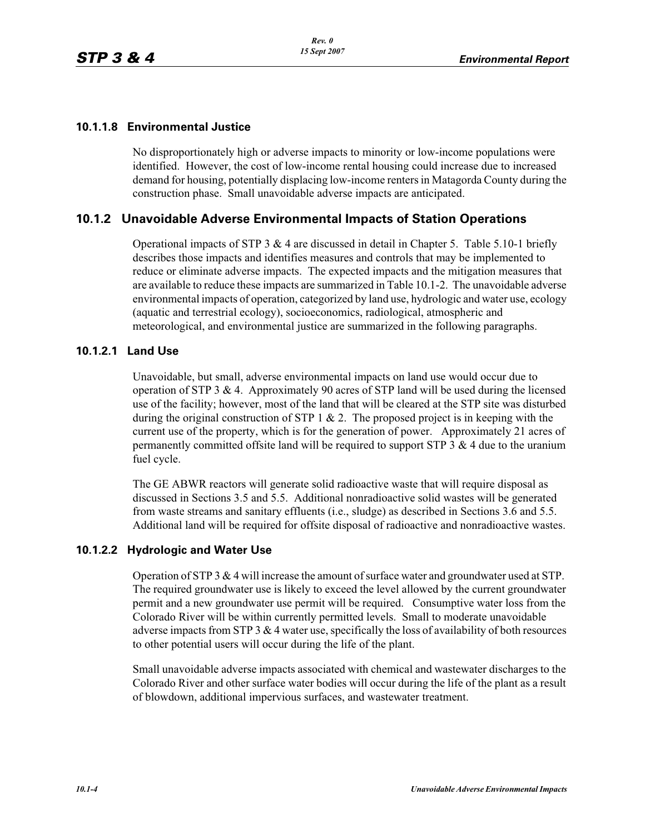### **10.1.1.8 Environmental Justice**

No disproportionately high or adverse impacts to minority or low-income populations were identified. However, the cost of low-income rental housing could increase due to increased demand for housing, potentially displacing low-income renters in Matagorda County during the construction phase. Small unavoidable adverse impacts are anticipated.

# **10.1.2 Unavoidable Adverse Environmental Impacts of Station Operations**

Operational impacts of STP 3  $&$  4 are discussed in detail in Chapter 5. Table 5.10-1 briefly describes those impacts and identifies measures and controls that may be implemented to reduce or eliminate adverse impacts. The expected impacts and the mitigation measures that are available to reduce these impacts are summarized in Table 10.1-2. The unavoidable adverse environmental impacts of operation, categorized by land use, hydrologic and water use, ecology (aquatic and terrestrial ecology), socioeconomics, radiological, atmospheric and meteorological, and environmental justice are summarized in the following paragraphs.

#### **10.1.2.1 Land Use**

Unavoidable, but small, adverse environmental impacts on land use would occur due to operation of STP 3  $\&$  4. Approximately 90 acres of STP land will be used during the licensed use of the facility; however, most of the land that will be cleared at the STP site was disturbed during the original construction of STP 1  $\&$  2. The proposed project is in keeping with the current use of the property, which is for the generation of power. Approximately 21 acres of permanently committed offsite land will be required to support STP 3  $\&$  4 due to the uranium fuel cycle.

The GE ABWR reactors will generate solid radioactive waste that will require disposal as discussed in Sections 3.5 and 5.5. Additional nonradioactive solid wastes will be generated from waste streams and sanitary effluents (i.e., sludge) as described in Sections 3.6 and 5.5. Additional land will be required for offsite disposal of radioactive and nonradioactive wastes.

#### **10.1.2.2 Hydrologic and Water Use**

Operation of STP 3 & 4 will increase the amount of surface water and groundwater used at STP. The required groundwater use is likely to exceed the level allowed by the current groundwater permit and a new groundwater use permit will be required. Consumptive water loss from the Colorado River will be within currently permitted levels. Small to moderate unavoidable adverse impacts from STP  $3 \& 4$  water use, specifically the loss of availability of both resources to other potential users will occur during the life of the plant.

Small unavoidable adverse impacts associated with chemical and wastewater discharges to the Colorado River and other surface water bodies will occur during the life of the plant as a result of blowdown, additional impervious surfaces, and wastewater treatment.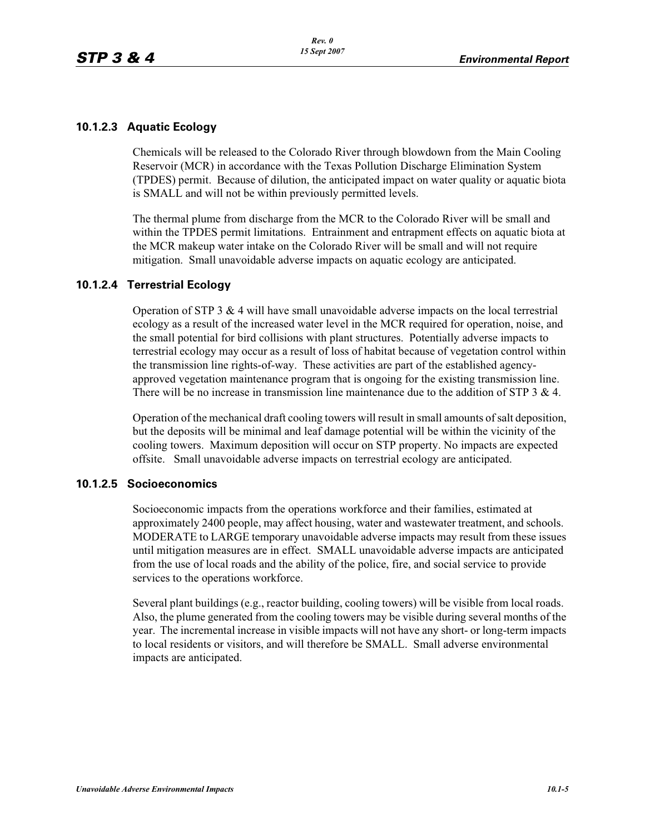#### **10.1.2.3 Aquatic Ecology**

Chemicals will be released to the Colorado River through blowdown from the Main Cooling Reservoir (MCR) in accordance with the Texas Pollution Discharge Elimination System (TPDES) permit. Because of dilution, the anticipated impact on water quality or aquatic biota is SMALL and will not be within previously permitted levels.

The thermal plume from discharge from the MCR to the Colorado River will be small and within the TPDES permit limitations. Entrainment and entrapment effects on aquatic biota at the MCR makeup water intake on the Colorado River will be small and will not require mitigation. Small unavoidable adverse impacts on aquatic ecology are anticipated.

#### **10.1.2.4 Terrestrial Ecology**

Operation of STP 3 & 4 will have small unavoidable adverse impacts on the local terrestrial ecology as a result of the increased water level in the MCR required for operation, noise, and the small potential for bird collisions with plant structures. Potentially adverse impacts to terrestrial ecology may occur as a result of loss of habitat because of vegetation control within the transmission line rights-of-way. These activities are part of the established agencyapproved vegetation maintenance program that is ongoing for the existing transmission line. There will be no increase in transmission line maintenance due to the addition of STP 3 & 4.

Operation of the mechanical draft cooling towers will result in small amounts of salt deposition, but the deposits will be minimal and leaf damage potential will be within the vicinity of the cooling towers. Maximum deposition will occur on STP property. No impacts are expected offsite. Small unavoidable adverse impacts on terrestrial ecology are anticipated.

#### **10.1.2.5 Socioeconomics**

Socioeconomic impacts from the operations workforce and their families, estimated at approximately 2400 people, may affect housing, water and wastewater treatment, and schools. MODERATE to LARGE temporary unavoidable adverse impacts may result from these issues until mitigation measures are in effect. SMALL unavoidable adverse impacts are anticipated from the use of local roads and the ability of the police, fire, and social service to provide services to the operations workforce.

Several plant buildings (e.g., reactor building, cooling towers) will be visible from local roads. Also, the plume generated from the cooling towers may be visible during several months of the year. The incremental increase in visible impacts will not have any short- or long-term impacts to local residents or visitors, and will therefore be SMALL. Small adverse environmental impacts are anticipated.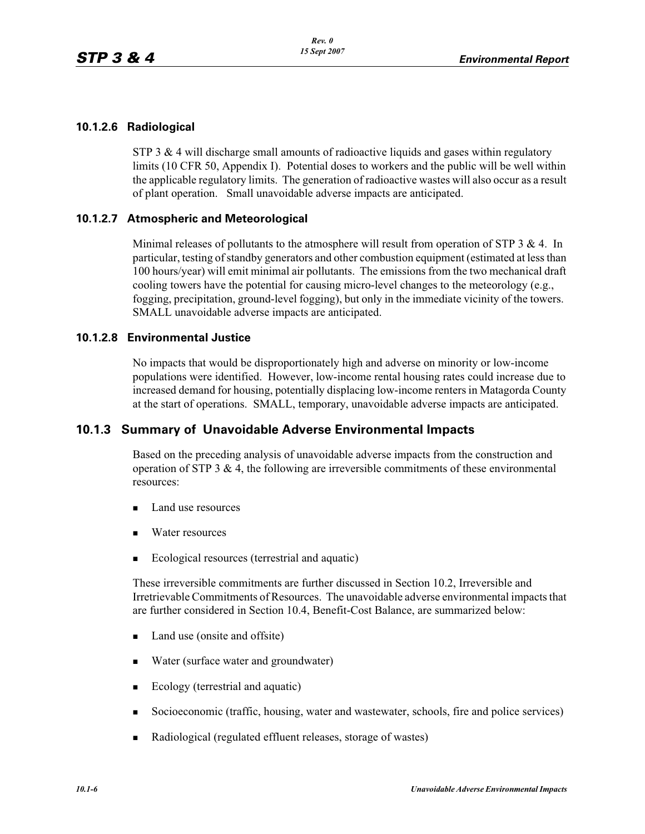#### **10.1.2.6 Radiological**

STP 3  $\&$  4 will discharge small amounts of radioactive liquids and gases within regulatory limits (10 CFR 50, Appendix I). Potential doses to workers and the public will be well within the applicable regulatory limits. The generation of radioactive wastes will also occur as a result of plant operation. Small unavoidable adverse impacts are anticipated.

#### **10.1.2.7 Atmospheric and Meteorological**

Minimal releases of pollutants to the atmosphere will result from operation of STP  $3 \& 4$ . In particular, testing of standby generators and other combustion equipment (estimated at less than 100 hours/year) will emit minimal air pollutants. The emissions from the two mechanical draft cooling towers have the potential for causing micro-level changes to the meteorology (e.g., fogging, precipitation, ground-level fogging), but only in the immediate vicinity of the towers. SMALL unavoidable adverse impacts are anticipated.

#### **10.1.2.8 Environmental Justice**

No impacts that would be disproportionately high and adverse on minority or low-income populations were identified. However, low-income rental housing rates could increase due to increased demand for housing, potentially displacing low-income renters in Matagorda County at the start of operations. SMALL, temporary, unavoidable adverse impacts are anticipated.

#### **10.1.3 Summary of Unavoidable Adverse Environmental Impacts**

Based on the preceding analysis of unavoidable adverse impacts from the construction and operation of STP 3  $\&$  4, the following are irreversible commitments of these environmental resources:

- -Land use resources
- -Water resources
- -Ecological resources (terrestrial and aquatic)

These irreversible commitments are further discussed in Section 10.2, Irreversible and Irretrievable Commitments of Resources. The unavoidable adverse environmental impacts that are further considered in Section 10.4, Benefit-Cost Balance, are summarized below:

- -Land use (onsite and offsite)
- -Water (surface water and groundwater)
- -Ecology (terrestrial and aquatic)
- -Socioeconomic (traffic, housing, water and wastewater, schools, fire and police services)
- -Radiological (regulated effluent releases, storage of wastes)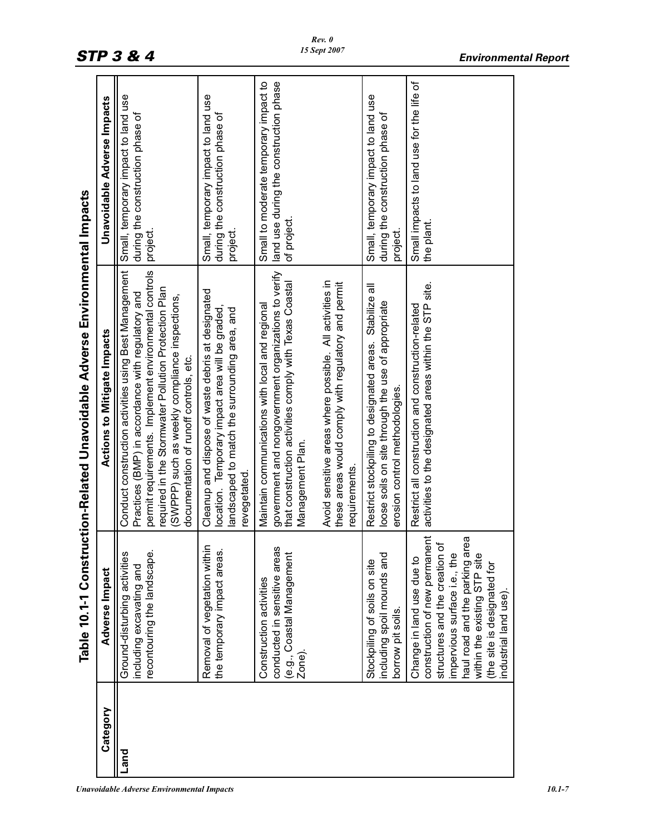|          |                                                                                                                                                                                                                                                           | Table 10.1-1 Construction-Related Unavoidable Adverse Environmental Impacts                                                                                                                                                                                                                                             |                                                                                                |
|----------|-----------------------------------------------------------------------------------------------------------------------------------------------------------------------------------------------------------------------------------------------------------|-------------------------------------------------------------------------------------------------------------------------------------------------------------------------------------------------------------------------------------------------------------------------------------------------------------------------|------------------------------------------------------------------------------------------------|
| Category | Adverse Impact                                                                                                                                                                                                                                            | Actions to Mitigate Impacts                                                                                                                                                                                                                                                                                             | <b>Unavoidable Adverse Impacts</b>                                                             |
| Land     | recontouring the landscape.<br>Ground-disturbing activities<br>including excavating and                                                                                                                                                                   | Conduct construction activities using Best Management<br>permit requirements. Implement environmental controls<br>required in the Stormwater Pollution Protection Plan<br>Practices (BMP) in accordance with regulatory and<br>(SWPPP) such as weekly compliance inspections,<br>documentation of runoff controls, etc. | Small, temporary impact to land use<br>during the construction phase of<br>project.            |
|          | Removal of vegetation within<br>the temporary impact areas.                                                                                                                                                                                               | Cleanup and dispose of waste debris at designated<br>location. Temporary impact area will be graded,<br>landscaped to match the surrounding area, and<br>revegetated.                                                                                                                                                   | Small, temporary impact to land use<br>during the construction phase of<br>project.            |
|          | conducted in sensitive areas<br>(e.g., Coastal Management<br>Construction activities<br>Zone).                                                                                                                                                            | government and nongovernment organizations to verify<br>that construction activities comply with Texas Coastal<br>Maintain communications with local and regional<br>Management Plan                                                                                                                                    | land use during the construction phase<br>Small to moderate temporary impact to<br>of project. |
|          |                                                                                                                                                                                                                                                           | Avoid sensitive areas where possible. All activities in<br>these areas would comply with regulatory and permit<br>requirements.                                                                                                                                                                                         |                                                                                                |
|          | including spoil mounds and<br>Stockpiling of soils on site<br>borrow pit soils.                                                                                                                                                                           | Restrict stockpiling to designated areas. Stabilize all<br>loose soils on site through the use of appropriate<br>erosion control methodologies.                                                                                                                                                                         | Small, temporary impact to land use<br>during the construction phase of<br>project.            |
|          | construction of new permanent<br>ΘØ<br>structures and the creation of<br>haul road and the parking an<br>impervious surface i.e., the<br>within the existing STP site<br>Change in land use due to<br>the site is designated for<br>industrial land use). | activities to the designated areas within the STP site.<br>Restrict all construction and construction-related                                                                                                                                                                                                           | Small impacts to land use for the life of<br>the plant.                                        |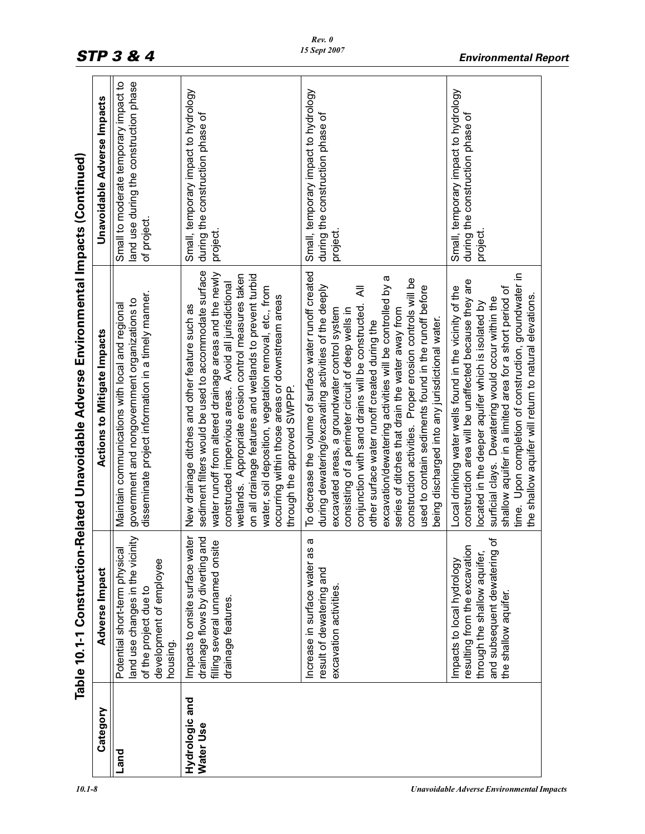|                             | Table 10.1-1 Construction-                                                                                                                            | Related Unavoidable Adverse Environmental Impacts (Continued)                                                                                                                                                                                                                                                                                                                                                                                                                                                                                                                                                            |                                                                                                |
|-----------------------------|-------------------------------------------------------------------------------------------------------------------------------------------------------|--------------------------------------------------------------------------------------------------------------------------------------------------------------------------------------------------------------------------------------------------------------------------------------------------------------------------------------------------------------------------------------------------------------------------------------------------------------------------------------------------------------------------------------------------------------------------------------------------------------------------|------------------------------------------------------------------------------------------------|
| Category                    | Adverse Impact                                                                                                                                        | <b>Actions to Mitigate Impacts</b>                                                                                                                                                                                                                                                                                                                                                                                                                                                                                                                                                                                       | <b>Unavoidable Adverse Impacts</b>                                                             |
| Land                        | land use changes in the vicinity<br>Potential short-term physical<br>development of employee<br>of the project due to<br>housing.                     | disseminate project information in a timely manner.<br>government and nongovernment organizations to<br>Maintain communications with local and regional                                                                                                                                                                                                                                                                                                                                                                                                                                                                  | land use during the construction phase<br>Small to moderate temporary impact to<br>of project. |
| Hydrologic and<br>Water Use | Impacts to onsite surface water<br>drainage flows by diverting and<br>ഉ<br>filling several unnamed onsit<br>drainage features.                        | sediment filters would be used to accommodate surface<br>water runoff from altered drainage areas and the newly<br>wetlands. Appropriate erosion control measures taken<br>on all drainage features and wetlands to prevent turbid<br>constructed impervious areas. Avoid all jurisdictional<br>water, soil deposition, vegetation removal, etc., from<br>occurring within those areas or downstream areas<br>New drainage ditches and other feature such as<br>through the approved SWPPP.                                                                                                                              | Small, temporary impact to hydrology<br>during the construction phase of<br>project.           |
|                             | ω<br>Increase in surface water as<br>result of dewatering and<br>excavation activities                                                                | To decrease the volume of surface water runoff created<br>excavation/dewatering activities will be controlled by a<br>construction activities. Proper erosion controls will be<br>during dewatering/excavating activities of the deeply<br>used to contain sediments found in the runoff before<br>₹<br>conjunction with sand drains will be constructed.<br>excavated areas, a groundwater control system<br>consisting of a perimeter circuit of deep wells in<br>series of ditches that drain the water away from<br>being discharged into any jurisdictional water.<br>other surface water runoff created during the | Small, temporary impact to hydrology<br>during the construction phase of<br>project            |
|                             | ৳<br>resulting from the excavation<br>through the shallow aquifer,<br>and subsequent dewatering<br>Impacts to local hydrology<br>the shallow aquifer. | time. Upon completion of construction, groundwater in<br>construction area will be unaffected because they are<br>Local drinking water wells found in the vicinity of the<br>shallow aquifer in a limited area for a short period of<br>the shallow aquifer will return to natural elevations<br>surficial clays. Dewatering would occur within the<br>located in the deeper aquifer which is isolated by                                                                                                                                                                                                                | Small, temporary impact to hydrology<br>during the construction phase of<br>project            |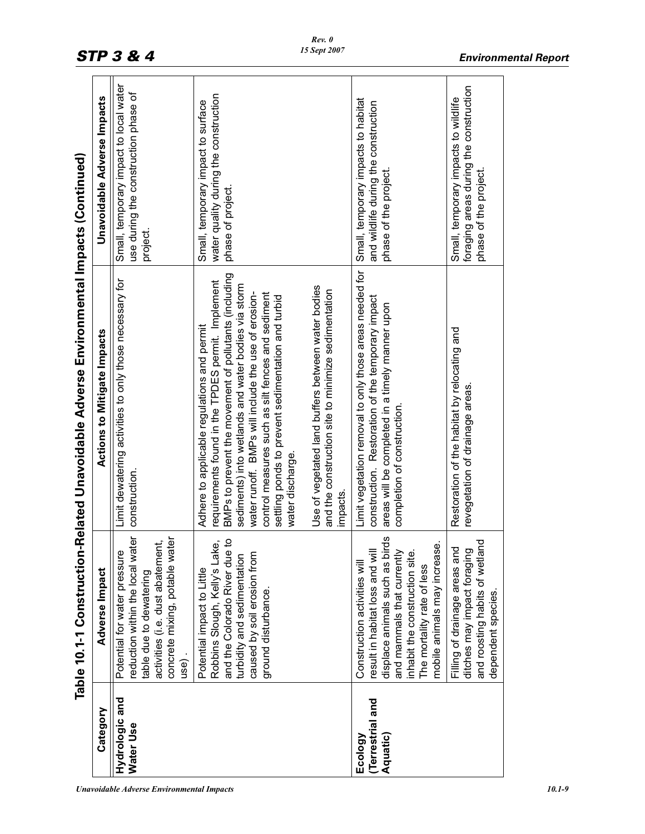|                                        | Table 10.1-1 Construction-                                                                                                                                                                                                      | Related Unavoidable Adverse Environmental Impacts (Continued)                                                                                                                                                                                                                                                                                                                                          |                                                                                                         |
|----------------------------------------|---------------------------------------------------------------------------------------------------------------------------------------------------------------------------------------------------------------------------------|--------------------------------------------------------------------------------------------------------------------------------------------------------------------------------------------------------------------------------------------------------------------------------------------------------------------------------------------------------------------------------------------------------|---------------------------------------------------------------------------------------------------------|
| Category                               | Adverse Impact                                                                                                                                                                                                                  | <b>Actions to Mitigate Impacts</b>                                                                                                                                                                                                                                                                                                                                                                     | Unavoidable Adverse Impacts                                                                             |
| Hydrologic and<br>Water Use            | reduction within the local water<br>concrete mixing, potable water<br>activities (i.e. dust abatement,<br>Potential for water pressure<br>table due to dewatering<br>use).                                                      | Limit dewatering activities to only those necessary for<br>construction.                                                                                                                                                                                                                                                                                                                               | Small, temporary impact to local water<br>use during the construction phase of<br>project.              |
|                                        | caused by soil erosion from<br>turbidity and sedimentation<br>Potential impact to Little<br>ground disturbance.                                                                                                                 | BMPs to prevent the movement of pollutants (including<br>requirements found in the TPDES permit. Implement<br>sediments) into wetlands and water bodies via storm<br>control measures such as silt fences and sediment<br>water runoff. BMPs will include the use of erosion-<br>settling ponds to prevent sedimentation and turbid<br>Adhere to applicable regulations and permit<br>water discharge. | water quality during the construction<br>Small, temporary impact to surface<br>phase of project.        |
|                                        |                                                                                                                                                                                                                                 | Use of vegetated land buffers between water bodies<br>and the construction site to minimize sedimentation<br>impacts                                                                                                                                                                                                                                                                                   |                                                                                                         |
| Terrestrial and<br>Aquatic)<br>Ecology | displace animals such as birds<br>mobile animals may increase.<br>result in habitat loss and will<br>and mammals that currently<br>inhabit the construction site.<br>Construction activities will<br>The mortality rate of less | Limit vegetation removal to only those areas needed for<br>construction. Restoration of the temporary impact<br>areas will be completed in a timely manner upon<br>completion of construction.                                                                                                                                                                                                         | Small, temporary impacts to habitat<br>and wildlife during the construction<br>phase of the project.    |
|                                        | and roosting habits of wetland<br>Filling of drainage areas and<br>ditches may impact foraging<br>dependent species                                                                                                             | Restoration of the habitat by relocating and<br>revegetation of drainage areas.                                                                                                                                                                                                                                                                                                                        | foraging areas during the construction<br>Small, temporary impacts to wildlife<br>phase of the project. |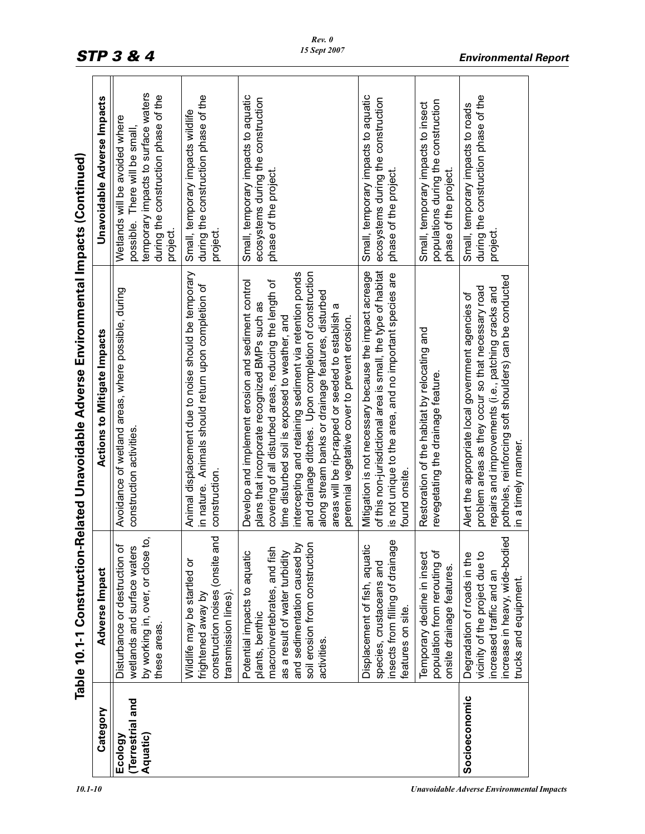|                                        | Table 10.1-1 Construction-                                                                                                                                                                        | Related Unavoidable Adverse Environmental Impacts (Continued)                                                                                                                                                                                                                                                                                                                                                                                                                                      |                                                                                                                                                            |
|----------------------------------------|---------------------------------------------------------------------------------------------------------------------------------------------------------------------------------------------------|----------------------------------------------------------------------------------------------------------------------------------------------------------------------------------------------------------------------------------------------------------------------------------------------------------------------------------------------------------------------------------------------------------------------------------------------------------------------------------------------------|------------------------------------------------------------------------------------------------------------------------------------------------------------|
| Category                               | Adverse Impact                                                                                                                                                                                    | <b>Actions to Mitigate Impacts</b>                                                                                                                                                                                                                                                                                                                                                                                                                                                                 | Unavoidable Adverse Impacts                                                                                                                                |
| Terrestrial and<br>Aquatic)<br>Ecology | Ξ,<br>Disturbance or destruction of<br>wetlands and surface waters<br>by working in, over, or close<br>these areas.                                                                               | Avoidance of wetland areas, where possible, during<br>construction activities.                                                                                                                                                                                                                                                                                                                                                                                                                     | temporary impacts to surface waters<br>during the construction phase of the<br>Wetlands will be avoided where<br>possible. There will be small<br>project. |
|                                        | construction noises (onsite and<br>Wildlife may be startled or<br>transmission lines).<br>frightened away by                                                                                      | Animal displacement due to noise should be temporary<br>in nature. Animals should return upon completion of<br>construction.                                                                                                                                                                                                                                                                                                                                                                       | during the construction phase of the<br>Small, temporary impacts wildlife<br>project.                                                                      |
|                                        | and sedimentation caused by<br>soil erosion from construction<br>macroinvertebrates, and fish<br>as a result of water turbidity<br>Potential impacts to aquatic<br>plants, benthic<br>activities. | and drainage ditches. Upon completion of construction<br>intercepting and retaining sediment via retention ponds<br>Develop and implement erosion and sediment control<br>covering of all disturbed areas, reducing the length of<br>along stream banks or drainage features, disturbed<br>plans that incorporate recognized BMPs such as<br>areas will be rip-rapped or seeded to establish a<br>time disturbed soil is exposed to weather, and<br>perennial vegetative cover to prevent erosion. | Small, temporary impacts to aquatic<br>ecosystems during the construction<br>phase of the project.                                                         |
|                                        | Φ<br>Displacement of fish, aquatic<br>insects from filling of drainag<br>species, crustaceans and<br>features on site.                                                                            | of this non-jurisdictional area is small, the type of habitat<br>Mitigation is not necessary because the impact acreage<br>is not unique to the area, and no important species are<br>found onsite                                                                                                                                                                                                                                                                                                 | Small, temporary impacts to aquatic<br>ecosystems during the construction<br>phase of the project.                                                         |
|                                        | population from rerouting of<br>Temporary decline in insect<br>onsite drainage features.                                                                                                          | Restoration of the habitat by relocating and<br>revegetating the drainage feature.                                                                                                                                                                                                                                                                                                                                                                                                                 | populations during the construction<br>Small, temporary impacts to insect<br>phase of the project.                                                         |
| Socioeconomic                          | increase in heavy, wide-bodied<br>vicinity of the project due to<br>Degradation of roads in the<br>increased traffic and an<br>trucks and equipment                                               | potholes, reinforcing soft shoulders) can be conducted<br>problem areas as they occur so that necessary road<br>repairs and improvements (i.e., patching cracks and<br>Alert the appropriate local government agencies of<br>n a timely manner.                                                                                                                                                                                                                                                    | during the construction phase of the<br>Small, temporary impacts to roads<br>project.                                                                      |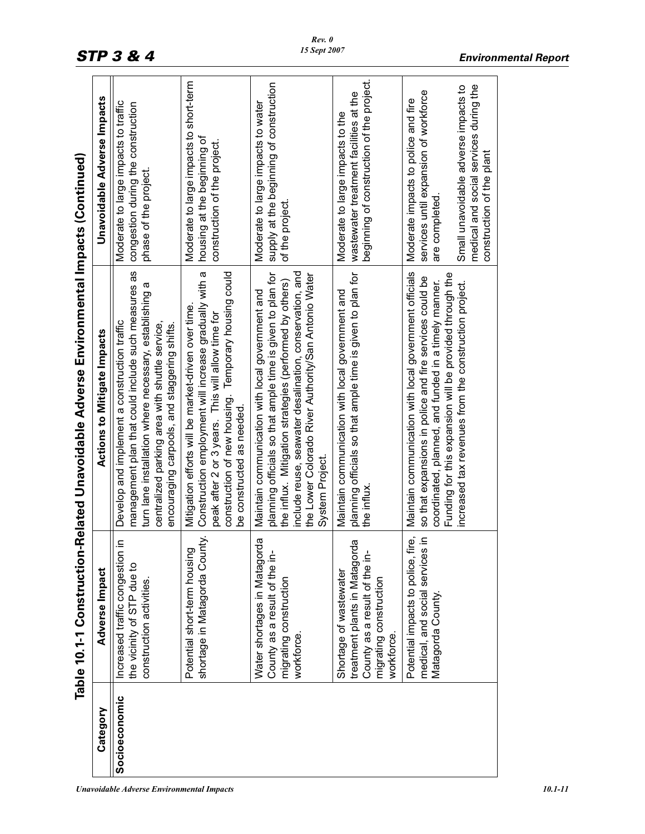|               |                                                                                                                                      | Table 10.1-1 Construction-Related Unavoidable Adverse Environmental Impacts (Continued)                                                                                                                                                                                                                         |                                                                                                                                                                                                              |
|---------------|--------------------------------------------------------------------------------------------------------------------------------------|-----------------------------------------------------------------------------------------------------------------------------------------------------------------------------------------------------------------------------------------------------------------------------------------------------------------|--------------------------------------------------------------------------------------------------------------------------------------------------------------------------------------------------------------|
| Category      | Adverse Impact                                                                                                                       | <b>Actions to Mitigate Impacts</b>                                                                                                                                                                                                                                                                              | Unavoidable Adverse Impacts                                                                                                                                                                                  |
| Socioeconomic | $\equiv$<br>Increased traffic congestion<br>the vicinity of STP due to<br>construction activities.                                   | management plan that could include such measures as<br>turn lane installation where necessary, establishing a<br>Develop and implement a construction traffic<br>centralized parking area with shuttle service,<br>encouraging carpools, and staggering shifts.                                                 | Moderate to large impacts to traffic<br>congestion during the construction<br>phase of the project.                                                                                                          |
|               | shortage in Matagorda County.<br>Potential short-term housing                                                                        | construction of new housing. Temporary housing could<br>Construction employment will increase gradually with a<br>Mitigation efforts will be market-driven over time.<br>peak after 2 or 3 years. This will allow time for<br>be constructed as needed.                                                         | Moderate to large impacts to short-term<br>housing at the beginning of<br>construction of the project.                                                                                                       |
|               | $\overline{\omega}$<br>Water shortages in Matagord<br>County as a result of the in-<br>migrating construction<br>workforce.          | include reuse, seawater desalination, conservation, and<br>planning officials so that ample time is given to plan for<br>the Lower Colorado River Authority/San Antonio Water<br>the influx. Mitigation strategies (performed by others)<br>Maintain communication with local government and<br>System Project. | supply at the beginning of construction<br>Moderate to large impacts to water<br>of the project.                                                                                                             |
|               | ω<br>treatment plants in Matagord<br>County as a result of the in-<br>Shortage of wastewater<br>migrating construction<br>workforce. | planning officials so that ample time is given to plan for<br>Maintain communication with local government and<br>the influx                                                                                                                                                                                    | beginning of construction of the project.<br>wastewater treatment facilities at the<br>Moderate to large impacts to the                                                                                      |
|               | ڗ<br>≘.<br>Potential impacts to police, fir<br>medical, and social services<br>Matagorda County.                                     | Maintain communication with local government officials<br>Funding for this expansion will be provided through the<br>so that expansions in police and fire services could be<br>coordinated, planned, and funded in a timely manner.<br>increased tax revenues from the construction project.                   | medical and social services during the<br>Small unavoidable adverse impacts to<br>services until expansion of workforce<br>Moderate impacts to police and fire<br>construction of the plant<br>are completed |
|               |                                                                                                                                      |                                                                                                                                                                                                                                                                                                                 |                                                                                                                                                                                                              |

*Rev. 0 15 Sept 2007*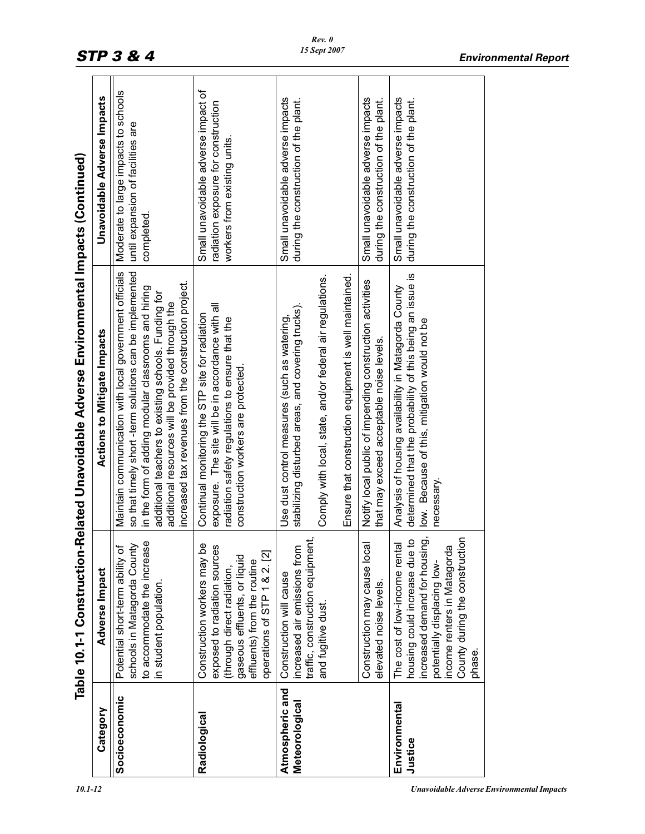|                                   | Table 10.1-1 Construction                                                                                                                                                                                 | -Related Unavoidable Adverse Environmental Impacts (Continued)<br><b>Actions to Mitigate Impacts</b>                                                                                                                                                                                                                                          |                                                                                                            |
|-----------------------------------|-----------------------------------------------------------------------------------------------------------------------------------------------------------------------------------------------------------|-----------------------------------------------------------------------------------------------------------------------------------------------------------------------------------------------------------------------------------------------------------------------------------------------------------------------------------------------|------------------------------------------------------------------------------------------------------------|
| Category                          | Adverse Impact                                                                                                                                                                                            |                                                                                                                                                                                                                                                                                                                                               | <b>Unavoidable Adverse Impacts</b>                                                                         |
| Socioeconomic                     | to accommodate the increase<br>schools in Matagorda County<br>৳<br>Potential short-term ability<br>in student population.                                                                                 | Maintain communication with local government officials<br>so that timely short-term solutions can be implemented<br>increased tax revenues from the construction project.<br>in the form of adding modular classrooms and hiring<br>additional teachers to existing schools. Funding for<br>additional resources will be provided through the | Moderate to large impacts to schools<br>until expansion of facilities are<br>completed.                    |
| Radiological                      | 0e<br>exposed to radiation sources<br>gaseous effluents, or liquid<br>operations of STP 1 & 2. [2]<br>Construction workers may<br>effluents) from the routine<br>(through direct radiation,               | exposure. The site will be in accordance with all<br>Continual monitoring the STP site for radiation<br>radiation safety regulations to ensure that the<br>construction workers are protected.                                                                                                                                                | Small unavoidable adverse impact of<br>radiation exposure for construction<br>workers from existing units. |
| Atmospheric and<br>Meteorological | traffic, construction equipment,<br>ncreased air emissions from<br>Construction will cause<br>and fugitive dust.                                                                                          | Ensure that construction equipment is well maintained.<br>Comply with local, state, and/or federal air regulations.<br>stabilizing disturbed areas, and covering trucks).<br>Use dust control measures (such as watering,                                                                                                                     | Small unavoidable adverse impacts<br>during the construction of the plant.                                 |
|                                   | Construction may cause local<br>elevated noise levels.                                                                                                                                                    | Notify local public of impending construction activities<br>that may exceed acceptable noise levels.                                                                                                                                                                                                                                          | Small unavoidable adverse impacts<br>during the construction of the plant.                                 |
| Environmental<br>Justice          | County during the construction<br>increased demand for housing,<br>housing could increase due to<br>The cost of low-income rental<br>income renters in Matagorda<br>potentially displacing low-<br>phase. | determined that the probability of this being an issue is<br>Analysis of housing availability in Matagorda County<br>low. Because of this, mitigation would not be<br>necessary.                                                                                                                                                              | Small unavoidable adverse impacts<br>during the construction of the plant.                                 |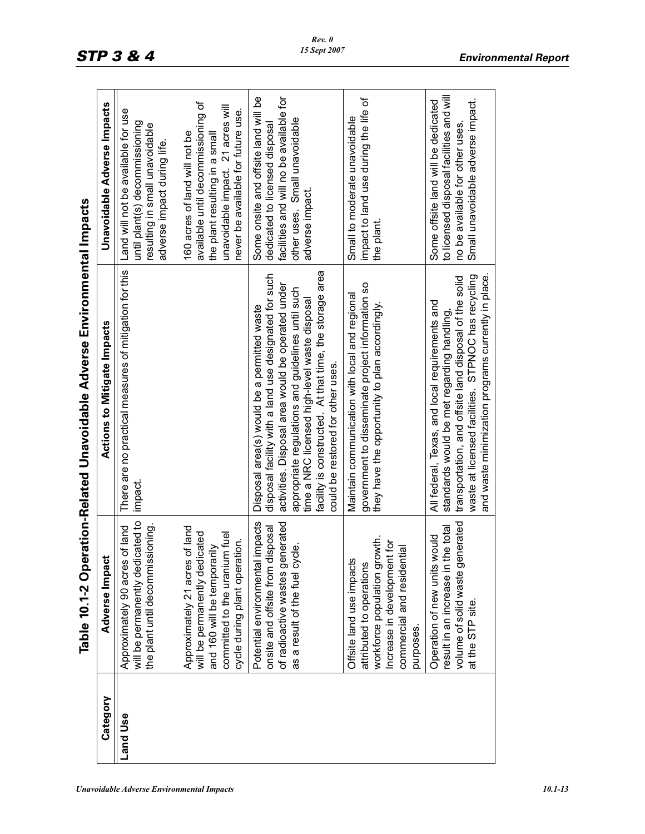| <b>Unavoidable Adverse Environmental Impacts</b> | 10.1-13 |
|--------------------------------------------------|---------|
|                                                  |         |

|          |                                                                                                                                                                                          | Table 10.1-2 Operation-Related Unavoidable Adverse Environmental Impacts                                                                                                                                                                                                                                                                                        |                                                                                                                                                                                  |
|----------|------------------------------------------------------------------------------------------------------------------------------------------------------------------------------------------|-----------------------------------------------------------------------------------------------------------------------------------------------------------------------------------------------------------------------------------------------------------------------------------------------------------------------------------------------------------------|----------------------------------------------------------------------------------------------------------------------------------------------------------------------------------|
| Category | Adverse Impact                                                                                                                                                                           | <b>Actions to Mitigate Impacts</b>                                                                                                                                                                                                                                                                                                                              | Unavoidable Adverse Impacts                                                                                                                                                      |
| and Use  | will be permanently dedicated to<br>the plant until decommissioning.<br>of land<br>Approximately 90 acres                                                                                | There are no practical measures of mitigation for this<br>impact.                                                                                                                                                                                                                                                                                               | Land will not be available for use<br>until plant(s) decommissioning<br>resulting in small unavoidable<br>adverse impact during life.                                            |
|          | of land<br>will be permanently dedicated<br>committed to the uranium fuel<br>cycle during plant operation.<br>and 160 will be temporarily<br>Approximately 21 acres                      |                                                                                                                                                                                                                                                                                                                                                                 | available until decommissioning of<br>unavoidable impact. 21 acres will<br>never be available for future use.<br>160 acres of land will not be<br>the plant resulting in a small |
|          | impacts<br>of radioactive wastes generated<br>isposal<br>as a result of the fuel cycle.<br>onsite and offsite from d<br>Potential environmental                                          | facility is constructed. At that time, the storage area<br>disposal facility with a land use designated for such<br>activities. Disposal area would be operated under<br>appropriate regulations and guidelines until such<br>time a NRC licensed high-level waste disposal<br>Disposal area(s) would be a permitted waste<br>could be restored for other uses. | Some onsite and offsite land will be<br>facilities and will no be available for<br>other uses. Small unavoidable<br>dedicated to licensed disposal<br>adverse impact.            |
|          | workforce population growth.<br>Increase in development for<br>$\overline{\mathfrak{g}}$<br>Offsite land use impacts<br>commercial and resident<br>attributed to operations<br>purposes. | government to disseminate project information so<br>Maintain communication with local and regional<br>they have the opportunity to plan accordingly.                                                                                                                                                                                                            | impact to land use during the life of<br>Small to moderate unavoidable<br>the plant.                                                                                             |
|          | volume of solid waste generated<br>result in an increase in the total<br>Operation of new units would<br>at the STP site.                                                                | and waste minimization programs currently in place.<br>waste at licensed facilities. STPNOC has recycling<br>transportation, and offsite land disposal of the solid<br>All federal, Texas, and local requirements and<br>standards would be met regarding handling,                                                                                             | to licensed disposal facilities and will<br>Small unavoidable adverse impact.<br>Some offsite land will be dedicated<br>no be available for other uses.                          |

*Rev. 0 15 Sept 2007*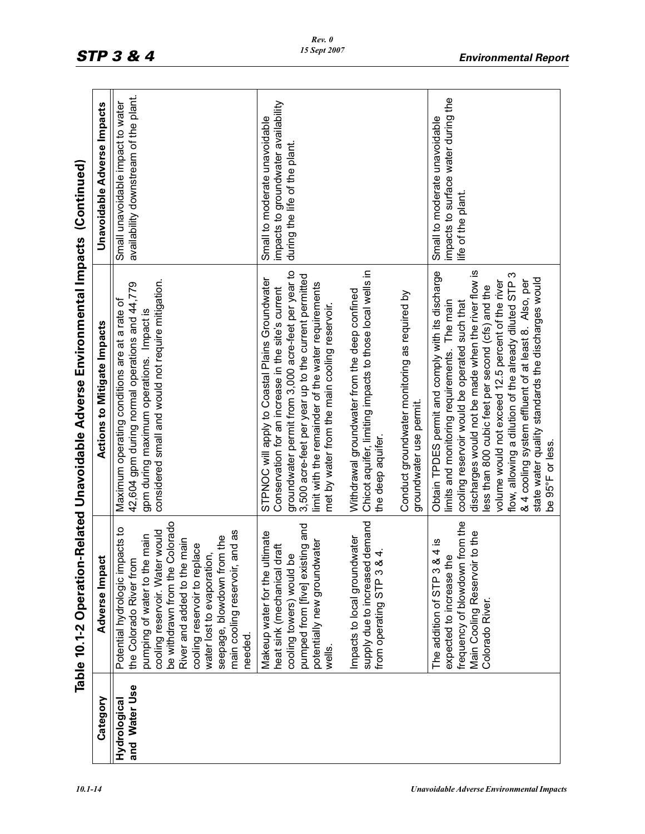|                               |                                                                                                                                                                                                                                                                                                                                                | Table 10.1-2 Operation-Related Unavoidable Adverse Environmental Impacts (Continued)                                                                                                                                                                                                                                                                                                                                                                                                                               |                                                                                                       |
|-------------------------------|------------------------------------------------------------------------------------------------------------------------------------------------------------------------------------------------------------------------------------------------------------------------------------------------------------------------------------------------|--------------------------------------------------------------------------------------------------------------------------------------------------------------------------------------------------------------------------------------------------------------------------------------------------------------------------------------------------------------------------------------------------------------------------------------------------------------------------------------------------------------------|-------------------------------------------------------------------------------------------------------|
| Category                      | Adverse Impact                                                                                                                                                                                                                                                                                                                                 | <b>Actions to Mitigate Impacts</b>                                                                                                                                                                                                                                                                                                                                                                                                                                                                                 | Unavoidable Adverse Impacts                                                                           |
| and Water Use<br>Hydrological | be withdrawn from the Colorado<br>Potential hydrologic impacts to<br>nd as<br>cooling reservoir. Water would<br>main<br>seepage, blowdown from the<br>River and added to the main<br>cooling reservoir to replace<br>water lost to evaporation,<br>pumping of water to the r<br>main cooling reservoir, a<br>the Colorado River from<br>needed | considered small and would not require mitigation.<br>42,604 gpm during normal operations and 44,779<br>Maximum operating conditions are at a rate of<br>gpm during maximum operations. Impact is                                                                                                                                                                                                                                                                                                                  | availability downstream of the plant.<br>Small unavoidable impact to water                            |
|                               | pumped from [five] existing and<br>Makeup water for the ultimate<br>Impacts to local groundwater<br>potentially new groundwater<br>heat sink (mechanical draft<br>cooling towers) would be<br>wells.                                                                                                                                           | groundwater permit from 3,000 acre-feet per year to<br>3,500 acre-feet per year up to the current permitted<br>STPNOC will apply to Coastal Plains Groundwater<br>limit with the remainder of the water requirements<br>Conservation for an increase in the site's current<br>Withdrawal groundwater from the deep confined<br>met by water from the main cooling reservoir.                                                                                                                                       | impacts to groundwater availability<br>Small to moderate unavoidable<br>during the life of the plant. |
|                               | supply due to increased demand<br>from operating STP 3 & 4.                                                                                                                                                                                                                                                                                    | Chicot aquifer, limiting impacts to those local wells in<br>Conduct groundwater monitoring as required by<br>groundwater use permit.<br>the deep aquifer.                                                                                                                                                                                                                                                                                                                                                          |                                                                                                       |
|                               | frequency of blowdown from the<br>Main Cooling Reservoir to the<br>$\frac{4}{15}$<br>expected to increase the<br>The addition of STP 3 &<br>Colorado River.                                                                                                                                                                                    | Obtain TPDES permit and comply with its discharge<br>discharges would not be made when the river flow is<br>S<br>state water quality standards the discharges would<br>volume would not exceed 12.5 percent of the river<br>& 4 cooling system effluent of at least 8. Also, per<br>flow, allowing a dilution of the already diluted STP<br>less than 800 cubic feet per second (cfs) and the<br>limits and monitoring requirements. The main<br>cooling reservoir would be operated such that<br>be 95°F or less. | impacts to surface water during the<br>Small to moderate unavoidable<br>life of the plant.            |

*10.1-14 Unavoidable Adverse Environmental Impacts*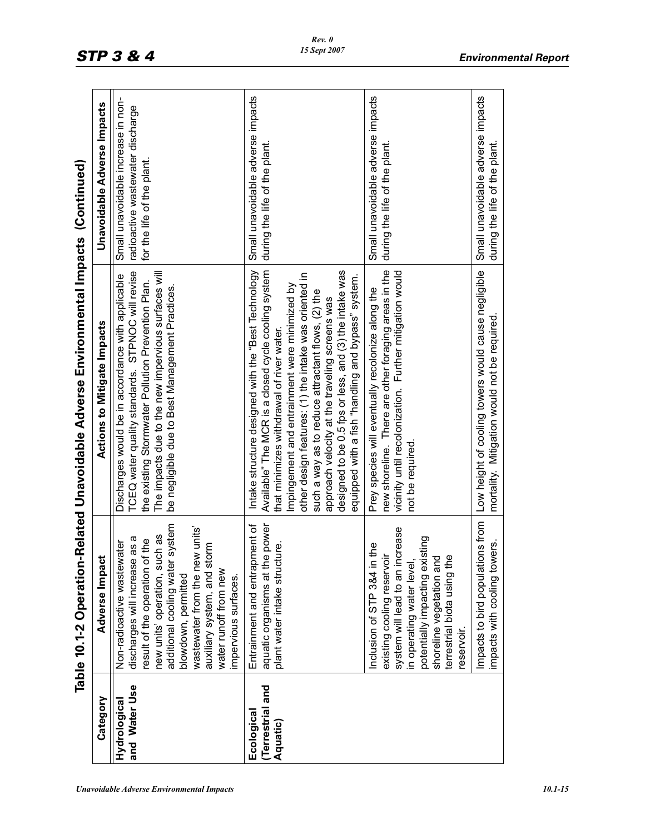| ¢                        |
|--------------------------|
| i<br>i                   |
| ׇ֖֖֖֧֚֡֬֝֓֝֬֝֬֓ <b>֓</b> |
|                          |
|                          |
|                          |
| $\sim$                   |
| <br> <br>:               |

|                                           |                                                                                                                                                                                                                                                                                                                           | Table 10.1-2 Operation-Related Unavoidable Adverse Environmental Impacts (Continued)                                                                                                                                                                                                                                                                                                                                                                                                    |                                                                                                     |
|-------------------------------------------|---------------------------------------------------------------------------------------------------------------------------------------------------------------------------------------------------------------------------------------------------------------------------------------------------------------------------|-----------------------------------------------------------------------------------------------------------------------------------------------------------------------------------------------------------------------------------------------------------------------------------------------------------------------------------------------------------------------------------------------------------------------------------------------------------------------------------------|-----------------------------------------------------------------------------------------------------|
| Category                                  | Adverse Impact                                                                                                                                                                                                                                                                                                            | <b>Actions to Mitigate Impacts</b>                                                                                                                                                                                                                                                                                                                                                                                                                                                      | Unavoidable Adverse Impacts                                                                         |
| and Water Use<br>Hydrological             | vstem<br>units'<br>as<br>discharges will increase as a<br>result of the operation of the<br>Non-radioactive wastewater<br>Ε<br>new units' operation, such<br>additional cooling water sy<br>wastewater from the new<br>auxiliary system, and stor<br>water runoff from new<br>blowdown, permitted<br>impervious surfaces. | TCEQ water quality standards. STPNOC will revise<br>The impacts due to the new impervious surfaces will<br>Discharges would be in accordance with applicable<br>the existing Stormwater Pollution Prevention Plan.<br>be negligible due to Best Management Practices.                                                                                                                                                                                                                   | Small unavoidable increase in non-<br>radioactive wastewater discharge<br>for the life of the plant |
| Terrestrial and<br>Ecological<br>Aquatic) | ent of<br>power<br>نه<br>plant water intake structur<br>Entrainment and entrapm<br>aquatic organisms at the I                                                                                                                                                                                                             | Available" The MCR is a closed cycle cooling system<br>designed to be 0.5 fps or less, and (3) the intake was<br>Intake structure designed with the "Best Technology<br>other design features: (1) the intake was oriented in<br>equipped with a fish "handling and bypass" system.<br>mpingement and entrainment were minimized by<br>such a way as to reduce attractant flows, (2) the<br>approach velocity at the traveling screens was<br>that minimizes withdrawal of river water. | Small unavoidable adverse impacts<br>during the life of the plant.                                  |
|                                           | ease<br>potentially impacting existing<br>Φ<br>Inclusion of STP 3&4 in th<br>system will lead to an incr<br>existing cooling reservoir<br>terrestrial biota using the<br>shoreline vegetation and<br>in operating water level,<br>reservoir.                                                                              | new shoreline. There are other foraging areas in the<br>vicinity until recolonization. Further mitigation would<br>Prey species will eventually recolonize along the<br>not be required.                                                                                                                                                                                                                                                                                                | Small unavoidable adverse impacts<br>during the life of the plant                                   |
|                                           | Impacts to bird populations from<br>impacts with cooling towers.                                                                                                                                                                                                                                                          | Low height of cooling towers would cause negligible<br>mortality. Mitigation would not be required.                                                                                                                                                                                                                                                                                                                                                                                     | Small unavoidable adverse impacts<br>during the life of the plant.                                  |